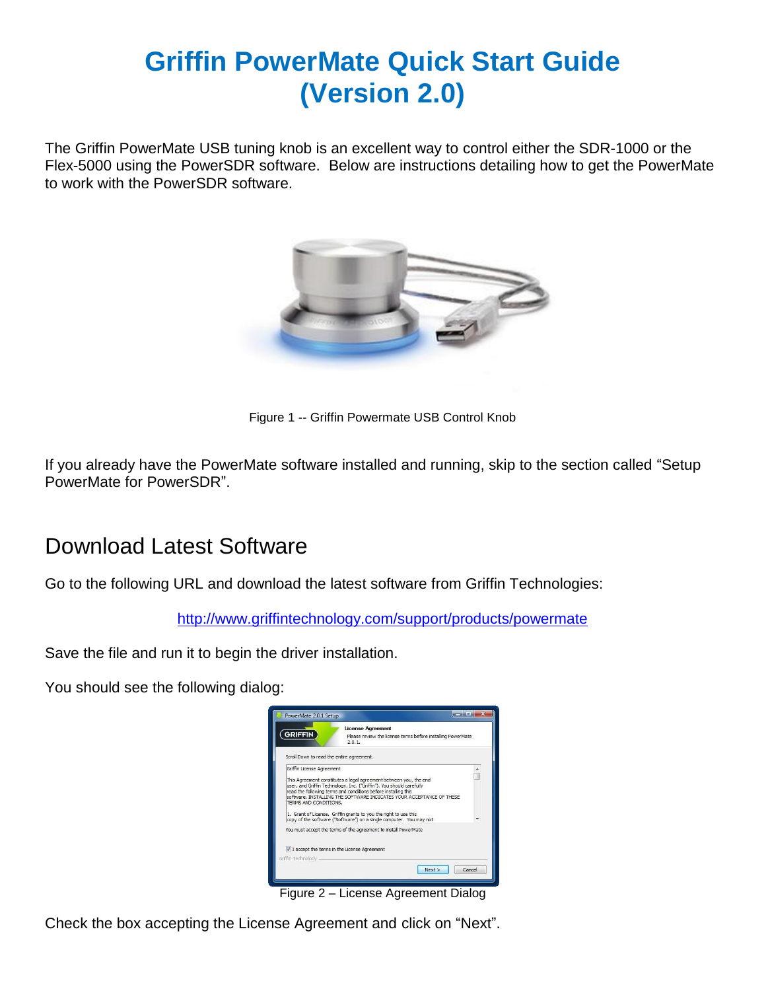# **Griffin PowerMate Quick Start Guide (Version 2.0)**

The Griffin PowerMate USB tuning knob is an excellent way to control either the SDR-1000 or the Flex-5000 using the PowerSDR software. Below are instructions detailing how to get the PowerMate to work with the PowerSDR software.



Figure 1 -- Griffin Powermate USB Control Knob

If you already have the PowerMate software installed and running, skip to the section called "Setup PowerMate for PowerSDR".

#### Download Latest Software

Go to the following URL and download the latest software from Griffin Technologies:

<http://www.griffintechnology.com/support/products/powermate>

Save the file and run it to begin the driver installation.

You should see the following dialog:



Figure 2 – License Agreement Dialog

Check the box accepting the License Agreement and click on "Next".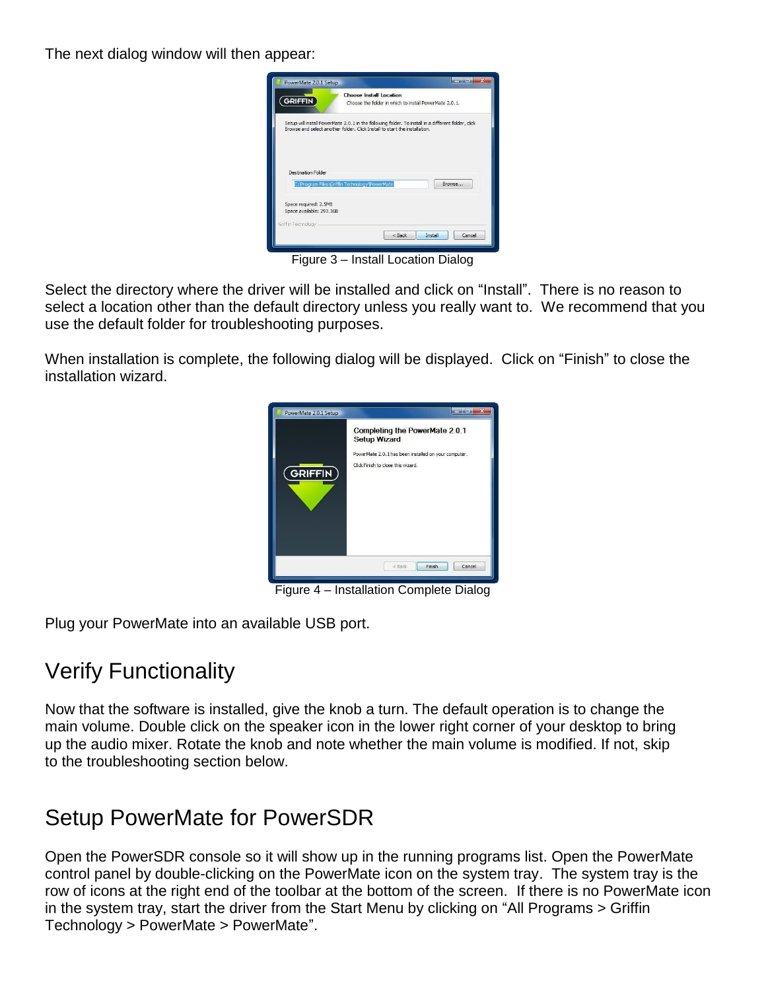The next dialog window will then appear:

| <b>GRIFFIN</b>                                    | Choose Install Location<br>Choose the folder in which to install PowerMate 2.0.1.                                                                                                |
|---------------------------------------------------|----------------------------------------------------------------------------------------------------------------------------------------------------------------------------------|
|                                                   | Setup will install PowerMate 2.0.1 in the following folder. To install in a different folder, dick<br>Browse and select another folder. Click Install to start the installation. |
|                                                   |                                                                                                                                                                                  |
|                                                   |                                                                                                                                                                                  |
|                                                   |                                                                                                                                                                                  |
| Destination Folder                                | C: \Program Files\Griffin Technology\PowerMate<br>Browse                                                                                                                         |
|                                                   |                                                                                                                                                                                  |
| Space required: 2.5MB<br>Space available: 293,3GB |                                                                                                                                                                                  |
| Griffin Technology -                              |                                                                                                                                                                                  |

Figure 3 – Install Location Dialog

Select the directory where the driver will be installed and click on "Install". There is no reason to select a location other than the default directory unless you really want to. We recommend that you use the default folder for troubleshooting purposes.

When installation is complete, the following dialog will be displayed. Click on "Finish" to close the installation wizard.



Figure 4 – Installation Complete Dialog

Plug your PowerMate into an available USB port.

# Verify Functionality

Now that the software is installed, give the knob a turn. The default operation is to change the main volume. Double click on the speaker icon in the lower right corner of your desktop to bring up the audio mixer. Rotate the knob and note whether the main volume is modified. If not, skip to the troubleshooting section below.

### Setup PowerMate for PowerSDR

Open the PowerSDR console so it will show up in the running programs list. Open the PowerMate control panel by double-clicking on the PowerMate icon on the system tray. The system tray is the row of icons at the right end of the toolbar at the bottom of the screen. If there is no PowerMate icon in the system tray, start the driver from the Start Menu by clicking on "All Programs > Griffin Technology > PowerMate > PowerMate".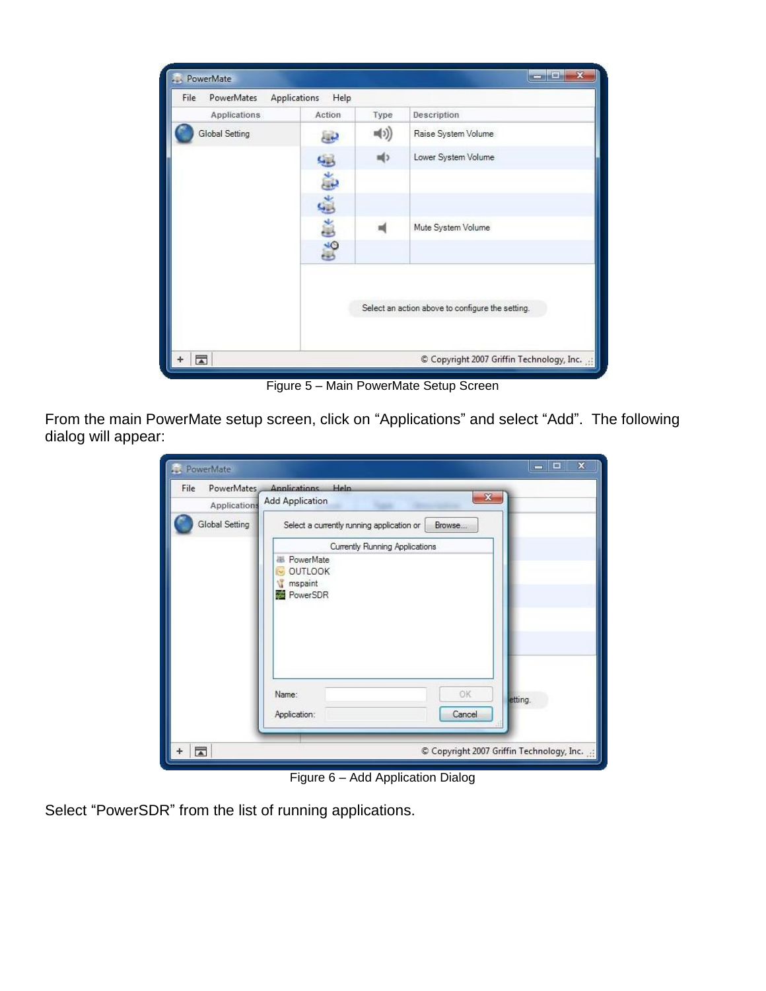| Applications   | Action               | Type | Description                                      |
|----------------|----------------------|------|--------------------------------------------------|
| Global Setting | دي                   | 빼))  | Raise System Volume                              |
|                |                      | 崎)   | Lower System Volume                              |
|                | $x \in \mathbb{R}^n$ |      |                                                  |
|                |                      |      |                                                  |
|                |                      |      | Mute System Volume                               |
|                | $660+$               |      |                                                  |
|                |                      |      | Select an action above to configure the setting. |
|                |                      |      |                                                  |

Figure 5 – Main PowerMate Setup Screen

From the main PowerMate setup screen, click on "Applications" and select "Add". The following dialog will appear:

| PowerMate                          |                                                     | x<br>E                                  |
|------------------------------------|-----------------------------------------------------|-----------------------------------------|
| PowerMates<br>File<br>Applications | Annlications Heln<br><b>Add Application</b>         | X.                                      |
| Global Setting                     | Select a currently running application or<br>Browse |                                         |
|                                    | Currently Running Applications                      |                                         |
|                                    | 墨 PowerMate                                         |                                         |
|                                    | OUTLOOK<br>mspaint                                  |                                         |
|                                    | PowerSDR                                            |                                         |
|                                    |                                                     |                                         |
|                                    |                                                     |                                         |
|                                    |                                                     |                                         |
|                                    |                                                     |                                         |
|                                    | OK<br>Name:                                         | etting.                                 |
|                                    | Cancel<br>Application:                              |                                         |
|                                    |                                                     |                                         |
| $\overline{A}$                     |                                                     | Copyright 2007 Griffin Technology, Inc. |
|                                    |                                                     |                                         |

Figure 6 – Add Application Dialog

Select "PowerSDR" from the list of running applications.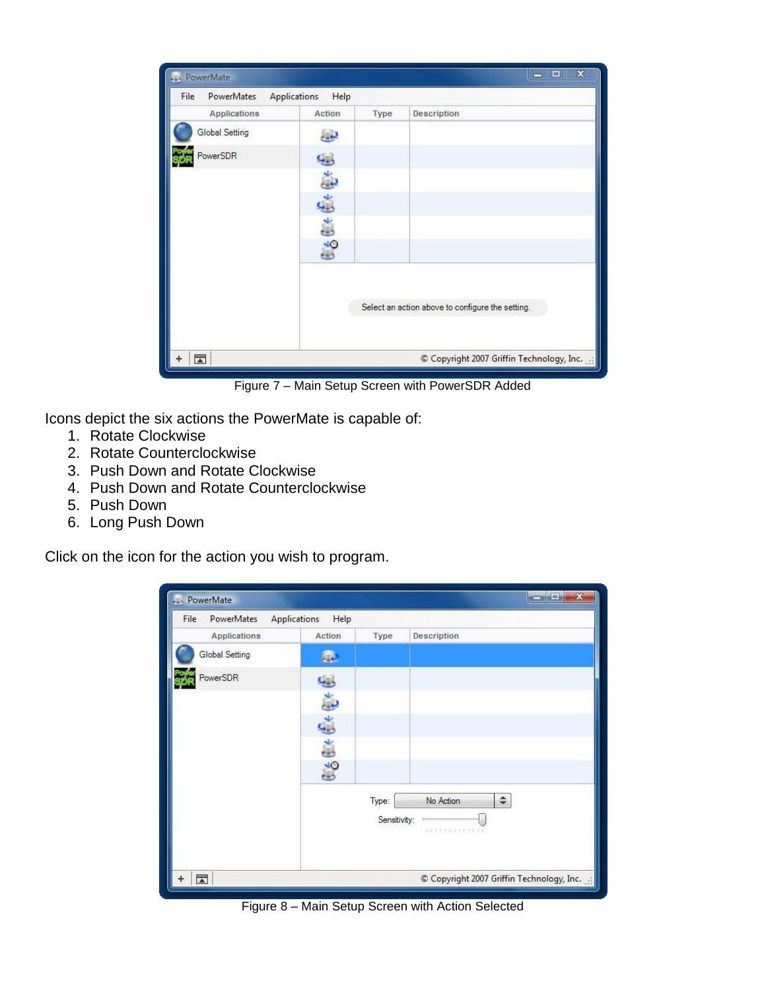| PowerMate                   |                             |      | $\mathbf x$<br>∣□<br>$\equiv$                    |
|-----------------------------|-----------------------------|------|--------------------------------------------------|
| PowerMates<br>File          | <b>Applications</b><br>Help |      |                                                  |
| Applications                | Action                      | Type | <b>Description</b>                               |
| Global Setting              | ىق                          |      |                                                  |
| PowerSDR                    | لیبا                        |      |                                                  |
|                             |                             |      |                                                  |
|                             | <b>GSGKCKGK</b>             |      |                                                  |
|                             |                             |      |                                                  |
|                             |                             |      |                                                  |
|                             |                             |      | Select an action above to configure the setting. |
| $\overline{\blacktriangle}$ |                             |      | Copyright 2007 Griffin Technology, Inc.          |

Figure 7 – Main Setup Screen with PowerSDR Added

Icons depict the six actions the PowerMate is capable of:

- 1. Rotate Clockwise
- 2. Rotate Counterclockwise
- 3. Push Down and Rotate Clockwise
- 4. Push Down and Rotate Counterclockwise
- 5. Push Down
- 6. Long Push Down

Click on the icon for the action you wish to program.

| PowerMate<br><b>Alan</b> |                      |              | $\mathbf{x}$<br>o.<br>$\sim$              |
|--------------------------|----------------------|--------------|-------------------------------------------|
| PowerMates<br>File       | Applications<br>Help |              |                                           |
| Applications             | Action               | Type         | Description                               |
| Global Setting           | 壶                    |              |                                           |
| PowerSDR                 | Q.                   |              |                                           |
|                          | Þ                    |              |                                           |
|                          |                      |              |                                           |
|                          | $66 + 64$            |              |                                           |
|                          |                      |              |                                           |
|                          |                      | Type:        | ÷<br>No Action                            |
|                          |                      | Sensitivity: | <b>LETTERIN COLLE</b>                     |
|                          |                      |              |                                           |
| $\overline{\phantom{a}}$ |                      |              | Copyright 2007 Griffin Technology, Inc. : |

Figure 8 – Main Setup Screen with Action Selected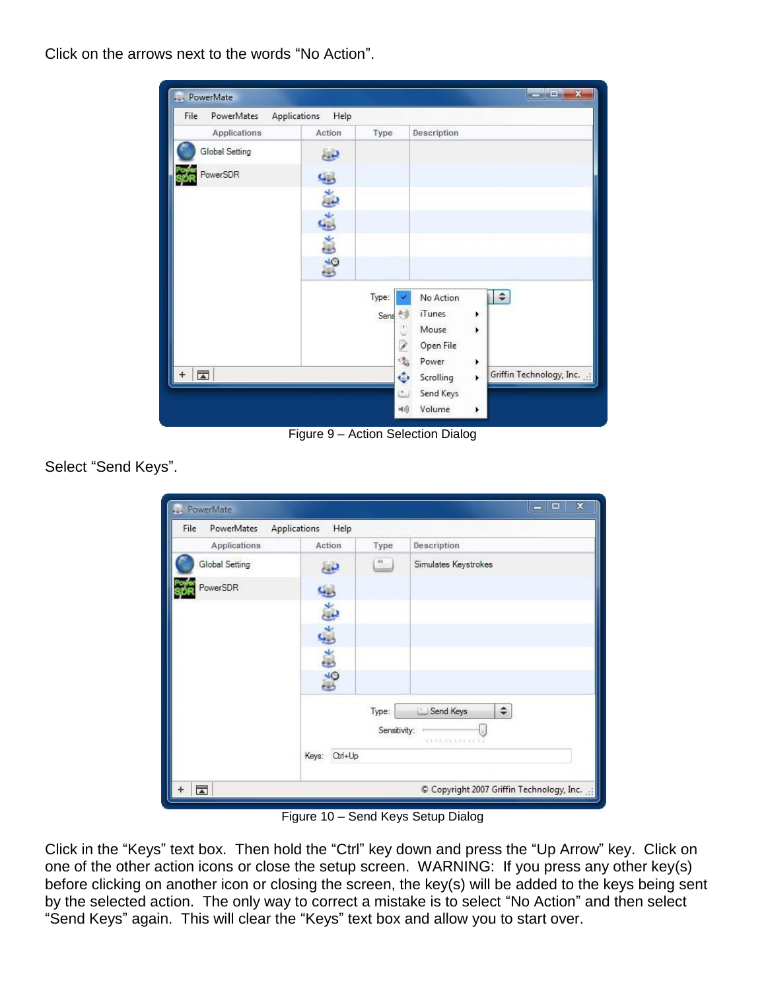Click on the arrows next to the words "No Action".

| PowerMates<br>File       | Applications<br>Help |            |                    |                                 |
|--------------------------|----------------------|------------|--------------------|---------------------------------|
| Applications             | Action               | Type       | <b>Description</b> |                                 |
| Global Setting           | E                    |            |                    |                                 |
| PowerSDR                 | 蟈                    |            |                    |                                 |
|                          |                      |            |                    |                                 |
|                          | ESC+C+C+             |            |                    |                                 |
|                          |                      |            |                    |                                 |
|                          |                      |            |                    |                                 |
|                          |                      | Type:      | No Action          | $\div$                          |
|                          |                      | 赤原<br>Sens | iTunes<br>Mouse    | ۱<br>$\ddot{\phantom{1}}$       |
|                          |                      | ¥          | Open File          |                                 |
|                          |                      | ÷.         | Power              | ł                               |
| $\overline{\phantom{a}}$ |                      | ÷          | Scrolling          | Griffin Technology, Inc. :<br>¥ |
|                          |                      | $\equiv$   | Send Keys          |                                 |

Figure 9 – Action Selection Dialog

Select "Send Keys".

| PowerMates<br>File | Applications<br>Help |              |                      |
|--------------------|----------------------|--------------|----------------------|
| Applications       | Action               | Type         | Description          |
| Global Setting     | ු                    | At           | Simulates Keystrokes |
| PowerSDR           | لمطلبه               |              |                      |
|                    | ىق                   |              |                      |
|                    | $660+64$             |              |                      |
|                    |                      |              |                      |
|                    |                      |              |                      |
|                    |                      | Type:        | ÷<br>Send Keys       |
|                    |                      | Sensitivity: | TERMINER AND ATLANT  |
|                    | Ctrl+Up<br>Keys:     |              |                      |

Figure 10 – Send Keys Setup Dialog

Click in the "Keys" text box. Then hold the "Ctrl" key down and press the "Up Arrow" key. Click on one of the other action icons or close the setup screen. WARNING: If you press any other key(s) before clicking on another icon or closing the screen, the key(s) will be added to the keys being sent by the selected action. The only way to correct a mistake is to select "No Action" and then select "Send Keys" again. This will clear the "Keys" text box and allow you to start over.